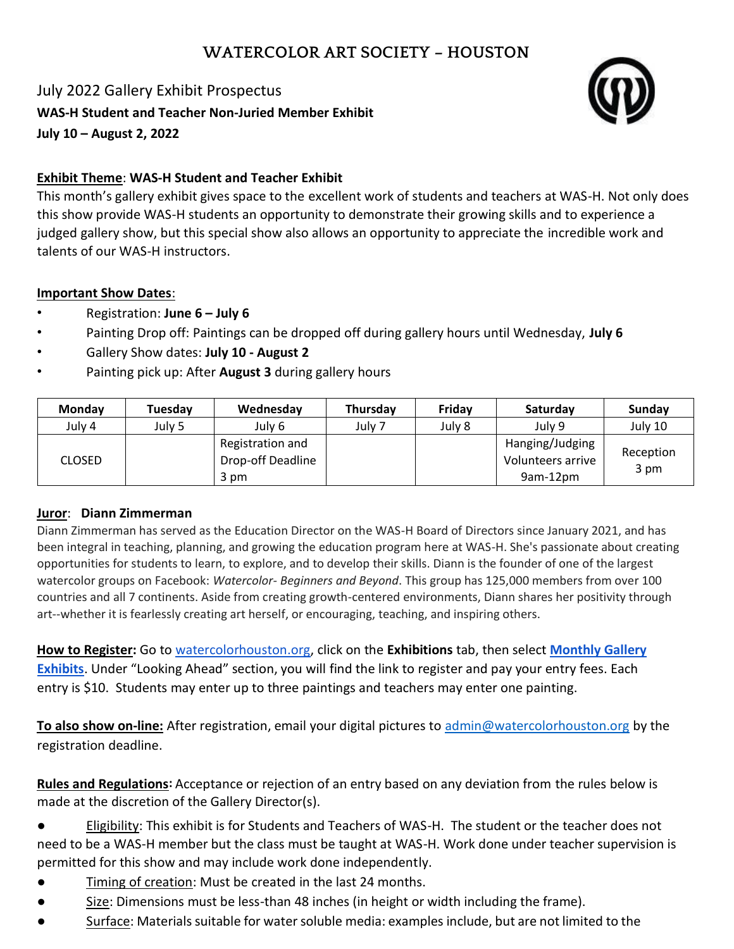# **WATERCOLOR ART SOCIETY – HOUSTON**

July 2022 Gallery Exhibit Prospectus **WAS-H Student and Teacher Non-Juried Member Exhibit July 10 – August 2, 2022**



## **Exhibit Theme**: **WAS-H Student and Teacher Exhibit**

This month's gallery exhibit gives space to the excellent work of students and teachers at WAS-H. Not only does this show provide WAS-H students an opportunity to demonstrate their growing skills and to experience a judged gallery show, but this special show also allows an opportunity to appreciate the incredible work and talents of our WAS-H instructors.

### **Important Show Dates**:

- Registration: **June 6 – July 6**
- Painting Drop off: Paintings can be dropped off during gallery hours until Wednesday, **July 6**
- Gallery Show dates: **July 10 - August 2**
- Painting pick up: After **August 3** during gallery hours

| <b>Monday</b> | Tuesdav | Wednesday                                     | Thursday | Fridav | Saturday                                         | <b>Sundav</b>     |
|---------------|---------|-----------------------------------------------|----------|--------|--------------------------------------------------|-------------------|
| July 4        | July 5  | July 6                                        | Julv 7   | July 8 | July 9                                           | July 10           |
| <b>CLOSED</b> |         | Registration and<br>Drop-off Deadline<br>3 pm |          |        | Hanging/Judging<br>Volunteers arrive<br>9am-12pm | Reception<br>3 pm |

### **Juror**: **Diann Zimmerman**

Diann Zimmerman has served as the Education Director on the WAS-H Board of Directors since January 2021, and has been integral in teaching, planning, and growing the education program here at WAS-H. She's passionate about creating opportunities for students to learn, to explore, and to develop their skills. Diann is the founder of one of the largest watercolor groups on Facebook: *Watercolor- Beginners and Beyond*. This group has 125,000 members from over 100 countries and all 7 continents. Aside from creating growth-centered environments, Diann shares her positivity through art--whether it is fearlessly creating art herself, or encouraging, teaching, and inspiring others.

**How to Register:** Go to [watercolorhouston.org,](http://www.watercolorhouston.org/) click on the **Exhibitions** tab, then select **[Monthly Gallery](https://watercolorhouston.org/Monthly-Gallery-Exhibits)  [Exhibits](https://watercolorhouston.org/Monthly-Gallery-Exhibits)**. Under "Looking Ahead" section, you will find the link to register and pay your entry fees. Each entry is \$10. Students may enter up to three paintings and teachers may enter one painting.

**To also show on-line:** After registration, email your digital pictures to [admin@watercolorhouston.org](mailto:admin@watercolorhouston.org) by the registration deadline.

**Rules and Regulations:** Acceptance or rejection of an entry based on any deviation from the rules below is made at the discretion of the Gallery Director(s).

- Eligibility: This exhibit is for Students and Teachers of WAS-H. The student or the teacher does not need to be a WAS-H member but the class must be taught at WAS-H. Work done under teacher supervision is permitted for this show and may include work done independently.
- Timing of creation: Must be created in the last 24 months.
- Size: Dimensions must be less-than 48 inches (in height or width including the frame).
- Surface: Materials suitable for water soluble media: examples include, but are not limited to the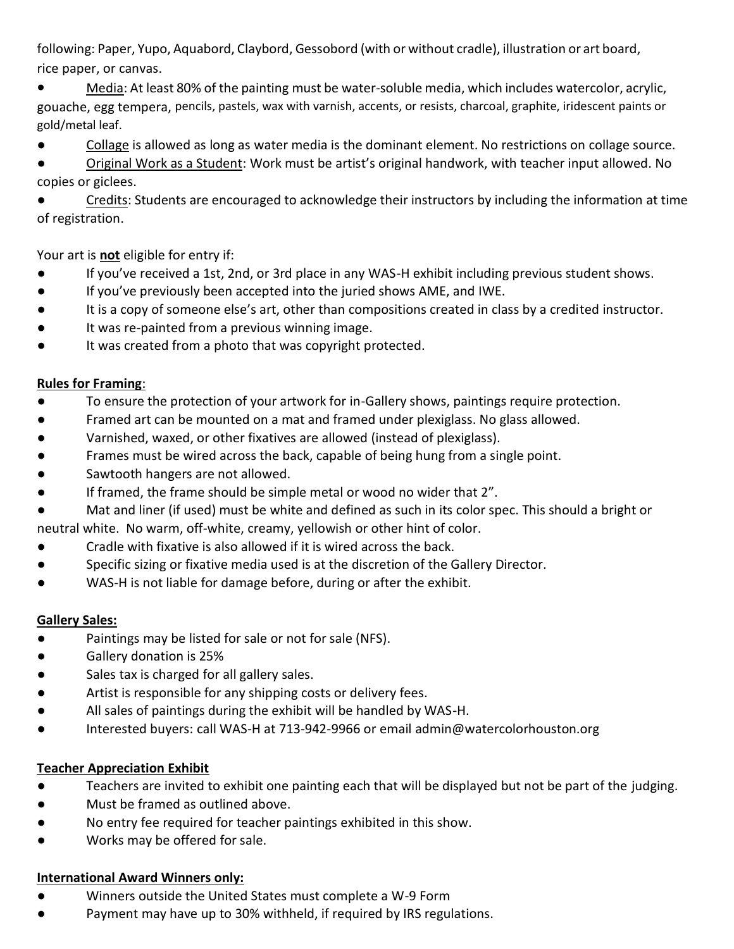following: Paper, Yupo, Aquabord, Claybord, Gessobord (with or without cradle), illustration or art board, rice paper, or canvas.

● Media: At least 80% of the painting must be water-soluble media, which includes watercolor, acrylic, gouache, egg tempera, pencils, pastels, wax with varnish, accents, or resists, charcoal, graphite, iridescent paints or gold/metal leaf.

● Collage is allowed as long as water media is the dominant element. No restrictions on collage source.

● Original Work as a Student: Work must be artist's original handwork, with teacher input allowed. No copies or giclees.

**•** Credits: Students are encouraged to acknowledge their instructors by including the information at time of registration.

Your art is **not** eligible for entry if:

- If you've received a 1st, 2nd, or 3rd place in any WAS-H exhibit including previous student shows.
- If you've previously been accepted into the juried shows AME, and IWE.
- It is a copy of someone else's art, other than compositions created in class by a credited instructor.
- It was re-painted from a previous winning image.
- It was created from a photo that was copyright protected.

## **Rules for Framing**:

- To ensure the protection of your artwork for in-Gallery shows, paintings require protection.
- Framed art can be mounted on a mat and framed under plexiglass. No glass allowed.
- Varnished, waxed, or other fixatives are allowed (instead of plexiglass).
- Frames must be wired across the back, capable of being hung from a single point.
- Sawtooth hangers are not allowed.
- If framed, the frame should be simple metal or wood no wider that 2".

● Mat and liner (if used) must be white and defined as such in its color spec. This should a bright or neutral white. No warm, off-white, creamy, yellowish or other hint of color.

- Cradle with fixative is also allowed if it is wired across the back.
- Specific sizing or fixative media used is at the discretion of the Gallery Director.
- WAS-H is not liable for damage before, during or after the exhibit.

# **Gallery Sales:**

- Paintings may be listed for sale or not for sale (NFS).
- Gallery donation is 25%
- Sales tax is charged for all gallery sales.
- Artist is responsible for any shipping costs or delivery fees.
- All sales of paintings during the exhibit will be handled by WAS-H.
- Interested buyers: call WAS-H at 713-942-9966 or email [admin@watercolorhouston.org](mailto:admin@watercolorhouston.org)

# **Teacher Appreciation Exhibit**

- Teachers are invited to exhibit one painting each that will be displayed but not be part of the judging.
- Must be framed as outlined above.
- No entry fee required for teacher paintings exhibited in this show.
- Works may be offered for sale.

### **International Award Winners only:**

- Winners outside the United States must complete a W-9 Form
- Payment may have up to 30% withheld, if required by IRS regulations.